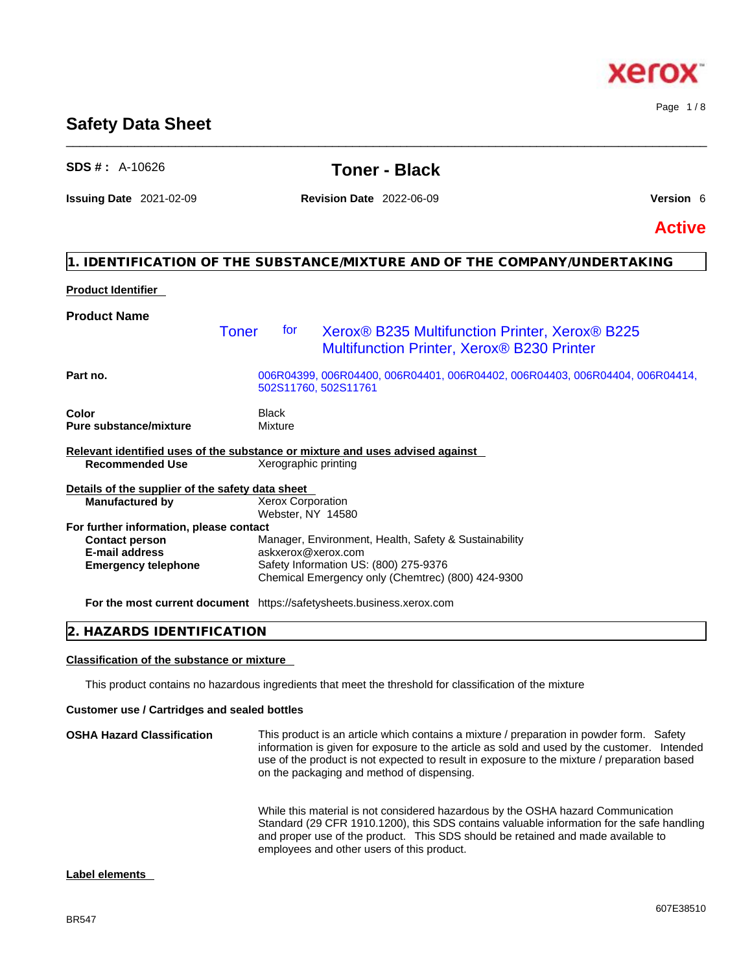# **Safety Data Sheet**

## **SDS # :** A-10626 **Toner - Black**

\_\_\_\_\_\_\_\_\_\_\_\_\_\_\_\_\_\_\_\_\_\_\_\_\_\_\_\_\_\_\_\_\_\_\_\_\_\_\_\_\_\_\_\_\_\_\_\_\_\_\_\_\_\_\_\_\_\_\_\_\_\_\_\_\_\_\_\_\_\_\_\_\_\_\_\_\_\_\_\_\_\_\_\_\_\_\_\_\_\_\_\_\_\_

**Issuing Date** 2021-02-09 **Revision Date** 2022-06-09 **Version** 6

**Active**

## **1. IDENTIFICATION OF THE SUBSTANCE/MIXTURE AND OF THE COMPANY/UNDERTAKING**

### **Product Identifier**

| <b>Product Name</b>                              |       |                                               |                                                                                                                      |
|--------------------------------------------------|-------|-----------------------------------------------|----------------------------------------------------------------------------------------------------------------------|
|                                                  | Toner | tor                                           | Xerox <sup>®</sup> B235 Multifunction Printer, Xerox <sup>®</sup> B225<br>Multifunction Printer, Xerox® B230 Printer |
| Part no.                                         |       |                                               | 006R04399, 006R04400, 006R04401, 006R04402, 006R04403, 006R04404, 006R04414,<br>502S11760, 502S11761                 |
| <b>Color</b>                                     |       | Black                                         |                                                                                                                      |
| <b>Pure substance/mixture</b>                    |       | Mixture                                       |                                                                                                                      |
|                                                  |       |                                               | Relevant identified uses of the substance or mixture and uses advised against                                        |
| <b>Recommended Use</b>                           |       | Xerographic printing                          |                                                                                                                      |
| Details of the supplier of the safety data sheet |       |                                               |                                                                                                                      |
| <b>Manufactured by</b>                           |       | <b>Xerox Corporation</b><br>Webster, NY 14580 |                                                                                                                      |
| For further information, please contact          |       |                                               |                                                                                                                      |
| <b>Contact person</b>                            |       |                                               | Manager, Environment, Health, Safety & Sustainability                                                                |
| <b>E-mail address</b>                            |       | askxerox@xerox.com                            |                                                                                                                      |
| <b>Emergency telephone</b>                       |       |                                               | Safety Information US: (800) 275-9376<br>Chemical Emergency only (Chemtrec) (800) 424-9300                           |
|                                                  |       |                                               | For the most current document https://safetysheets.business.xerox.com                                                |

### **2. HAZARDS IDENTIFICATION**

#### **Classification of the substance or mixture**

This product contains no hazardous ingredients that meet the threshold for classification of the mixture

#### **Customer use / Cartridges and sealed bottles**

| <b>OSHA Hazard Classification</b> | This product is an article which contains a mixture / preparation in powder form. Safety<br>information is given for exposure to the article as sold and used by the customer. Intended<br>use of the product is not expected to result in exposure to the mixture / preparation based<br>on the packaging and method of dispensing. |
|-----------------------------------|--------------------------------------------------------------------------------------------------------------------------------------------------------------------------------------------------------------------------------------------------------------------------------------------------------------------------------------|
|                                   | While this material is not considered hazardous by the OSHA hazard Communication<br>Standard (29 CFR 1910.1200), this SDS contains valuable information for the safe handling<br>and proper use of the product. This SDS should be retained and made available to<br>employees and other users of this product.                      |

#### **Label elements**



Page 1 / 8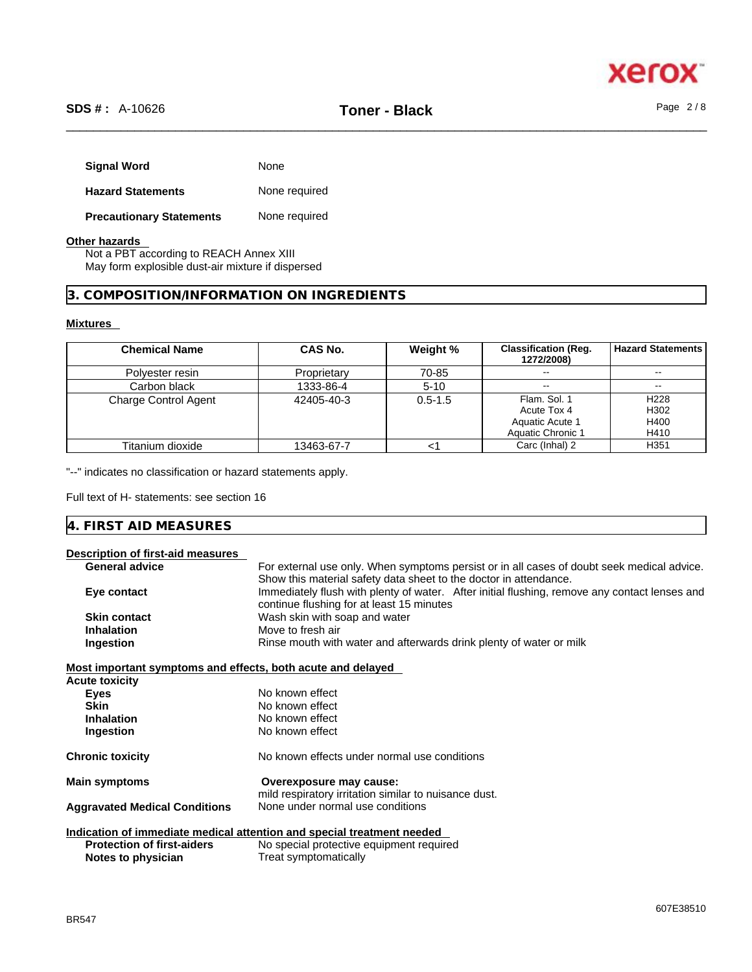

| <b>Signal Word</b>              | None          |
|---------------------------------|---------------|
| <b>Hazard Statements</b>        | None required |
| <b>Precautionary Statements</b> | None required |

#### **Other hazards**

Not a PBT according to REACH Annex XIII May form explosible dust-air mixture if dispersed

#### **3. COMPOSITION/INFORMATION ON INGREDIENTS**

#### **Mixtures**

| <b>Chemical Name</b>        | CAS No.     | Weight %    | <b>Classification (Reg.</b><br>1272/2008) | <b>Hazard Statements</b> |
|-----------------------------|-------------|-------------|-------------------------------------------|--------------------------|
| Polyester resin             | Proprietary | 70-85       |                                           | $- -$                    |
| Carbon black                | 1333-86-4   | $5 - 10$    | $\overline{\phantom{a}}$                  | $\sim$ $\sim$            |
| <b>Charge Control Agent</b> | 42405-40-3  | $0.5 - 1.5$ | Flam, Sol. 1<br>Acute Tox 4               | H <sub>228</sub><br>H302 |
|                             |             |             | Aquatic Acute 1<br>Aquatic Chronic 1      | H400<br>H410             |
| Titanium dioxide            | 13463-67-7  |             | Carc (Inhal) 2                            | H <sub>351</sub>         |

"--" indicates no classification or hazard statements apply.

Full text of H- statements: see section 16

| $100 \times 100$<br>4<br>IVIE.<br>$\overline{\phantom{a}}$<br>1 I L<br>· ADN∟J<br>v |  |
|-------------------------------------------------------------------------------------|--|
|-------------------------------------------------------------------------------------|--|

### **Description of first-aid measures**

| <b>General advice</b>                                       | For external use only. When symptoms persist or in all cases of doubt seek medical advice.    |
|-------------------------------------------------------------|-----------------------------------------------------------------------------------------------|
|                                                             | Show this material safety data sheet to the doctor in attendance.                             |
| Eye contact                                                 | Immediately flush with plenty of water. After initial flushing, remove any contact lenses and |
|                                                             | continue flushing for at least 15 minutes                                                     |
| <b>Skin contact</b>                                         | Wash skin with soap and water                                                                 |
| <b>Inhalation</b>                                           | Move to fresh air                                                                             |
| Ingestion                                                   | Rinse mouth with water and afterwards drink plenty of water or milk                           |
| Most important symptoms and effects, both acute and delayed |                                                                                               |
| <b>Acute toxicity</b>                                       |                                                                                               |
| Eyes                                                        | No known effect                                                                               |
| <b>Skin</b>                                                 | No known effect                                                                               |
| <b>Inhalation</b>                                           | No known effect                                                                               |
| Ingestion                                                   | No known effect                                                                               |
| <b>Chronic toxicity</b>                                     | No known effects under normal use conditions                                                  |
| <b>Main symptoms</b>                                        | Overexposure may cause:                                                                       |
|                                                             | mild respiratory irritation similar to nuisance dust.                                         |
| <b>Aggravated Medical Conditions</b>                        | None under normal use conditions                                                              |
|                                                             | Indication of immediate medical attention and special treatment needed                        |
| <b>Protection of first-aiders</b>                           | No special protective equipment required                                                      |
| Notes to physician                                          | Treat symptomatically                                                                         |
|                                                             |                                                                                               |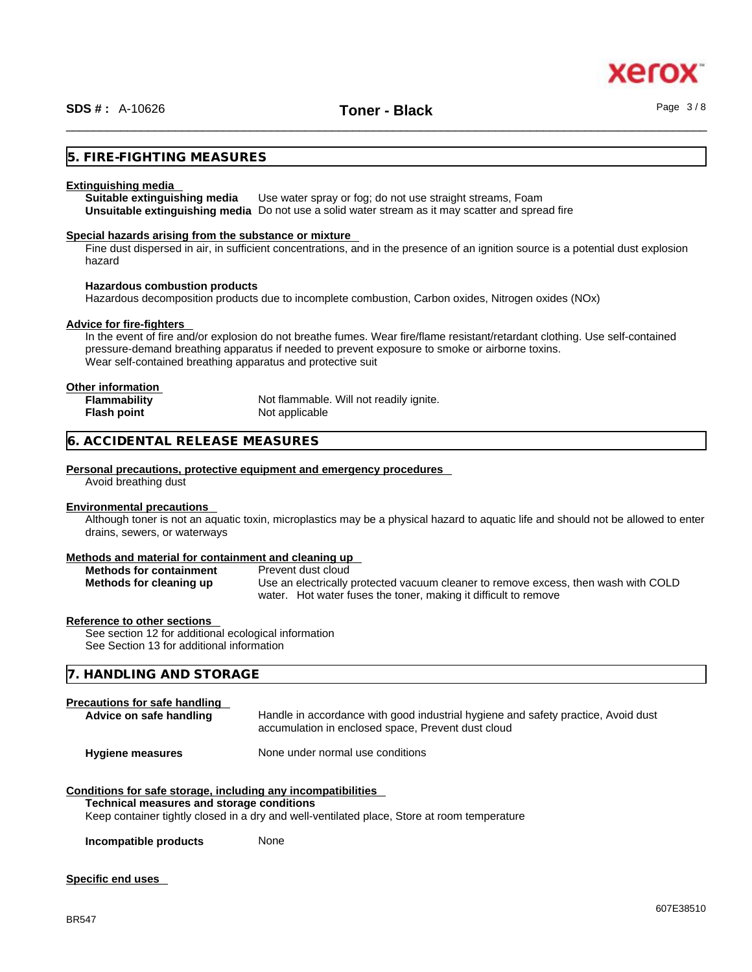### **5. FIRE-FIGHTING MEASURES**

#### **Extinguishing media**

**Suitable extinguishing media** Use water spray or fog; do not use straight streams, Foam **Unsuitable extinguishing media** Do not use a solid water stream as it may scatterand spread fire

#### **Special hazards arising from the substance or mixture**

Fine dust dispersed in air, in sufficient concentrations, and in the presence of an ignition source is a potential dust explosion hazard

#### **Hazardous combustion products**

Hazardous decomposition products due to incomplete combustion, Carbon oxides, Nitrogen oxides (NOx)

#### **Advice for fire-fighters**

In the event of fire and/or explosion do not breathe fumes. Wear fire/flame resistant/retardant clothing. Use self-contained pressure-demand breathing apparatus if needed to prevent exposure to smoke or airborne toxins. Wear self-contained breathing apparatus and protective suit

#### **Other information**

| <b>Flammability</b> | Not flammable. Will not readily ignite. |
|---------------------|-----------------------------------------|
| Flash point         | Not applicable                          |

#### **6. ACCIDENTAL RELEASE MEASURES**

#### **Personal precautions, protective equipment and emergency procedures**

Avoid breathing dust

#### **Environmental precautions**

Although toner is not an aquatic toxin, microplastics may be a physical hazard to aquatic life and should not be allowed to enter drains, sewers, or waterways

#### **Methods and material for containment and cleaning up**

| <b>Methods for containment</b> | Prevent dust cloud                                                                 |
|--------------------------------|------------------------------------------------------------------------------------|
| Methods for cleaning up        | Use an electrically protected vacuum cleaner to remove excess, then wash with COLD |
|                                | water. Hot water fuses the toner, making it difficult to remove                    |

#### **Reference to other sections**

See section 12 for additional ecological information See Section 13 for additional information

#### **7. HANDLING AND STORAGE**

#### **Precautions for safe handling**

| Advice on safe handling | Handle in accordance with good industrial hygiene and safety practice, Avoid dust<br>accumulation in enclosed space, Prevent dust cloud |
|-------------------------|-----------------------------------------------------------------------------------------------------------------------------------------|
| <b>Hygiene measures</b> | None under normal use conditions                                                                                                        |

### **Conditions for safe storage, including any incompatibilities**

#### **Technical measures and storage conditions**

Keep container tightly closed in a dry and well-ventilated place, Store at room temperature

**Incompatible products** None

#### **Specific end uses**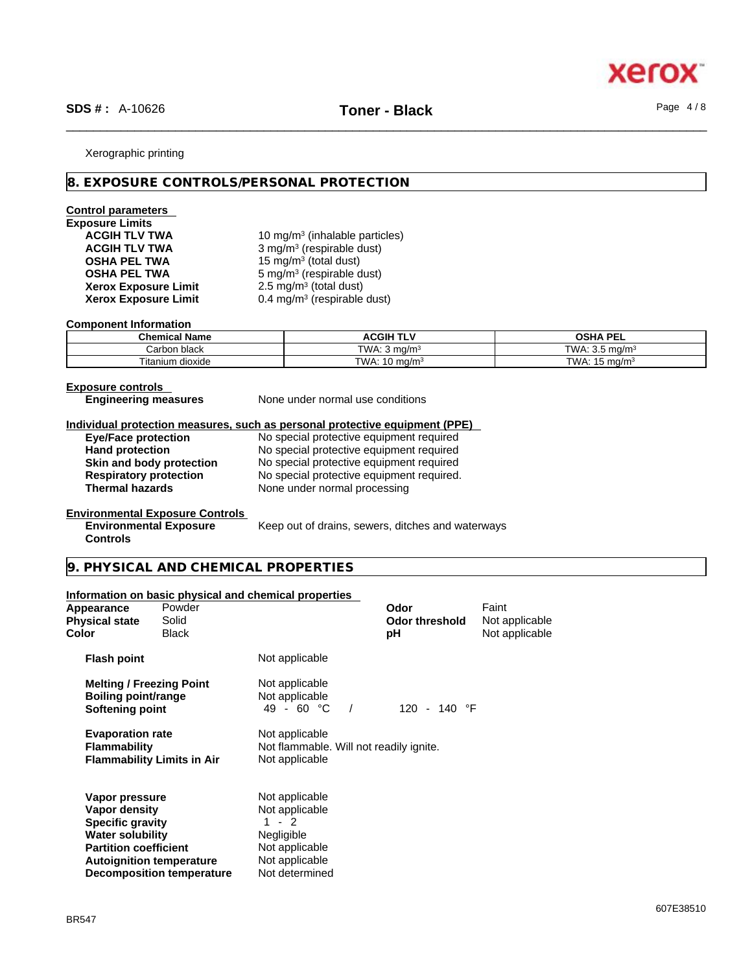

#### Xerographic printing

#### **8. EXPOSURE CONTROLS/PERSONAL PROTECTION**

### **Control parameters**

# **Exposure Limits Xerox Exposure Limit<br>Xerox Exposure Limit**

ACGIH TLV TWA **10 mg/m<sup>3</sup> (inhalable particles) ACGIH TLV TWA** 3 mg/m<sup>3</sup> (respirable dust) **OSHA PEL TWA** 15 mg/m<sup>3</sup> (total dust) **OSHA PEL TWA** 5 mg/m<sup>3</sup> (respirable dust)  $2.5 \text{ mg/m}^3$  (total dust) **Xerox Exposure Limit** 0.4 mg/m<sup>3</sup> (respirable dust)

#### **Component Information**

| <b>Chemical Name</b>           | <b>ACGIH TLV</b>           | OSHA PEL                         |
|--------------------------------|----------------------------|----------------------------------|
| ⊧black<br>Carbon               | TWA.<br>ma/m <sup>3</sup>  | TWA:<br>ma/m∘<br>ັບເປ            |
| ÷.<br><br>⊺itanium<br>⊧dioxide | TWA.<br>`ma/m <sup>s</sup> | TWA.<br>ma/m <sup>3</sup><br>. . |

**Controls** 

**Exposure controls** 

**Engineering measures** None under normal use conditions

# **Individual protection measures, such as personal protective equipment (PPE)**

No special protective equipment required **Hand protection** No special protective equipment required **Skin and body protection** No special protective equipment required<br> **Respiratory protection** No special protective equipment required. **Respiratory protection** No special protective equipment required.<br> **Thermal hazards** None under normal processing **Thermal hazards** None under normal processing

#### **Environmental Exposure Controls**

**Environmental Exposure** Keep out of drains, sewers, ditches and waterways

#### **9. PHYSICAL AND CHEMICAL PROPERTIES**

#### **Information on basic physical and chemical properties**

**Decomposition temperature** Not determined

| Appearance<br><b>Physical state</b><br>Color                                                                                                             | Powder<br>Solid<br><b>Black</b> |                                                                                                      | Odor<br><b>Odor threshold</b><br>рH | Faint<br>Not applicable<br>Not applicable |  |
|----------------------------------------------------------------------------------------------------------------------------------------------------------|---------------------------------|------------------------------------------------------------------------------------------------------|-------------------------------------|-------------------------------------------|--|
| <b>Flash point</b>                                                                                                                                       |                                 | Not applicable                                                                                       |                                     |                                           |  |
| <b>Melting / Freezing Point</b><br>Boiling point/range<br>Softening point                                                                                |                                 | Not applicable<br>Not applicable<br>49 - 60 °C                                                       | 120 - 140 °F                        |                                           |  |
| <b>Evaporation rate</b><br><b>Flammability</b><br><b>Flammability Limits in Air</b>                                                                      |                                 | Not applicable<br>Not flammable. Will not readily ignite.<br>Not applicable                          |                                     |                                           |  |
| Vapor pressure<br>Vapor density<br><b>Specific gravity</b><br><b>Water solubility</b><br><b>Partition coefficient</b><br><b>Autoignition temperature</b> |                                 | Not applicable<br>Not applicable<br>$1 - 2$<br><b>Negligible</b><br>Not applicable<br>Not applicable |                                     |                                           |  |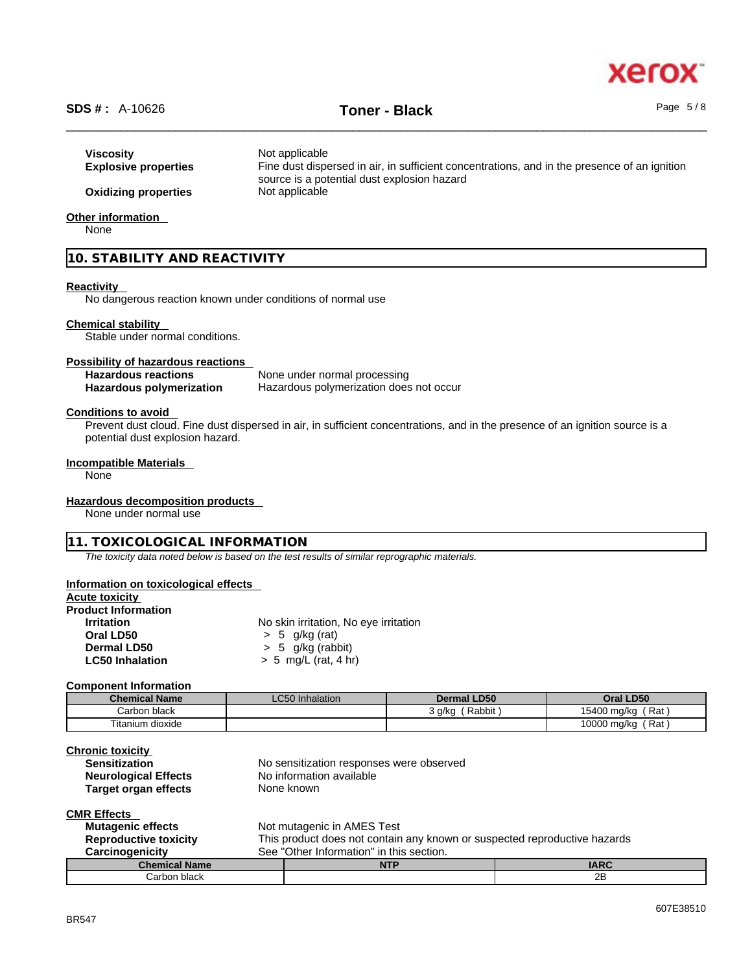# xero

# \_\_\_\_\_\_\_\_\_\_\_\_\_\_\_\_\_\_\_\_\_\_\_\_\_\_\_\_\_\_\_\_\_\_\_\_\_\_\_\_\_\_\_\_\_\_\_\_\_\_\_\_\_\_\_\_\_\_\_\_\_\_\_\_\_\_\_\_\_\_\_\_\_\_\_\_\_\_\_\_\_\_\_\_\_\_\_\_\_\_\_\_\_\_ **SDS # :** A-10626 **Toner - Black** Page 5 / 8

| Viscosity<br><b>Explosive properties</b> | Not applicable<br>Fine dust dispersed in air, in sufficient concentrations, and in the presence of an ignition<br>source is a potential dust explosion hazard |
|------------------------------------------|---------------------------------------------------------------------------------------------------------------------------------------------------------------|
| <b>Oxidizing properties</b>              | Not applicable                                                                                                                                                |
| Other information                        |                                                                                                                                                               |

None

#### **10. STABILITY AND REACTIVITY**

#### **Reactivity**

No dangerous reaction known under conditions of normal use

#### **Chemical stability**

Stable under normal conditions.

#### **Possibility of hazardous reactions**

| <b>Hazardous reactions</b> | None under normal processing            |
|----------------------------|-----------------------------------------|
| Hazardous polymerization   | Hazardous polymerization does not occur |

#### **Conditions to avoid**

Prevent dust cloud. Fine dust dispersed in air, in sufficient concentrations, and in the presence of an ignition source is a potential dust explosion hazard.

#### **Incompatible Materials**

None

#### **Hazardous decomposition products**

None under normal use

#### **11. TOXICOLOGICAL INFORMATION**

*The toxicity data noted below is based on the test results of similar reprographic materials.* 

#### **Information on toxicological effects**

#### **Acute toxicity**

# **Product Information**

**No skin irritation, No eye irritation Oral LD50** > 5 g/kg (rat) **Dermal LD50**  $\rightarrow$  5 g/kg (rabbit)<br>**LC50 Inhalation**  $\rightarrow$  5 mg/L (rat, 4 h) **LC50 Inhalation** > 5 mg/L (rat, 4 hr)

#### **Component Information**

| <b>Chemical Name</b> | <b>LC50 Inhalation</b> | <b>Dermal LD50</b> | Oral LD50           |
|----------------------|------------------------|--------------------|---------------------|
| Carbon black         |                        | Rabbit<br>`q/kq    | (Rat<br>15400 mg/kg |
| Titanium dioxide     |                        |                    | 10000 mg/kg<br>(Rat |

| <b>Chronic toxicity</b>      |                                                                           |
|------------------------------|---------------------------------------------------------------------------|
| <b>Sensitization</b>         | No sensitization responses were observed                                  |
| <b>Neurological Effects</b>  | No information available                                                  |
| Target organ effects         | None known                                                                |
| <b>CMR Effects</b>           |                                                                           |
| <b>Mutagenic effects</b>     | Not mutagenic in AMES Test                                                |
| <b>Reproductive toxicity</b> | This product does not contain any known or suspected reproductive hazards |
| Carcinogenicity              | See "Other Information" in this section.                                  |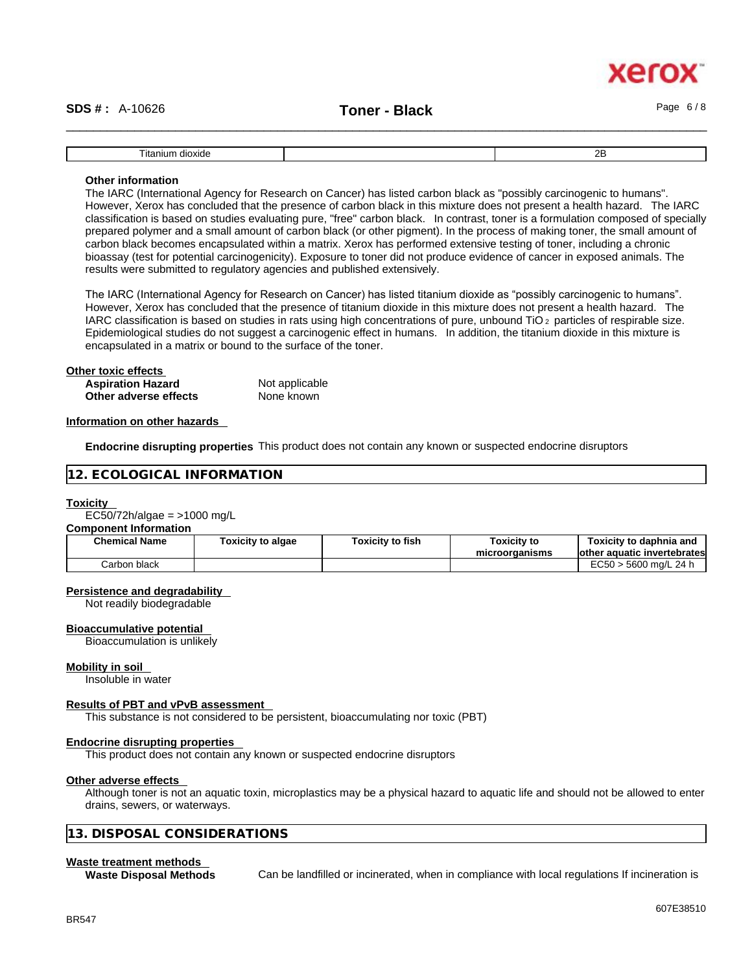# xerc

# \_\_\_\_\_\_\_\_\_\_\_\_\_\_\_\_\_\_\_\_\_\_\_\_\_\_\_\_\_\_\_\_\_\_\_\_\_\_\_\_\_\_\_\_\_\_\_\_\_\_\_\_\_\_\_\_\_\_\_\_\_\_\_\_\_\_\_\_\_\_\_\_\_\_\_\_\_\_\_\_\_\_\_\_\_\_\_\_\_\_\_\_\_\_ **SDS # :** A-10626 **Toner - Black** Page 6 / 8

| ıta<br>dıc<br>anıur | חה<br>-- |
|---------------------|----------|

#### **Other information**

The IARC (International Agency for Research on Cancer) has listed carbon black as "possibly carcinogenic to humans". However, Xerox has concluded that the presence of carbon black in this mixture does not present a health hazard. The IARC classification is based on studies evaluating pure, "free" carbon black. In contrast, toner is a formulation composed of specially prepared polymer and a small amount of carbon black (or other pigment). In the process of making toner, the small amount of carbon black becomes encapsulated within a matrix. Xerox has performed extensive testing of toner, including a chronic bioassay (test for potential carcinogenicity). Exposure to toner did not produce evidence of cancer in exposed animals. The results were submitted to regulatory agencies and published extensively.

The IARC (International Agency for Research on Cancer) has listed titanium dioxide as "possibly carcinogenic to humans". However, Xerox has concluded that the presence of titanium dioxide in this mixture does not present a health hazard. The IARC classification is based on studies in rats using high concentrations of pure, unbound TiO 2 particles of respirable size. Epidemiological studies do not suggest a carcinogenic effect in humans. In addition, the titanium dioxide in this mixture is encapsulated in a matrix or bound to the surface of the toner.

# **Other toxic effects**<br> **Aspiration Hazard Not applicable**

**Aspiration Hazard Not applicable Not applicable**<br> **Other adverse effects** None known **Other** adverse effects

#### **Information on other hazards**

**Endocrine disrupting properties** This product does not contain any known or suspected endocrine disruptors

#### **12. ECOLOGICAL INFORMATION**

#### **Toxicity**

EC50/72h/algae =  $>1000$  mg/L

#### **Component Information**

| <b>Chemical Name</b> | Toxicity to algae | <b>Toxicitv to fish</b> | Toxicitv to<br>microorganisms | Toxicity to daphnia and<br>lother aquatic invertebrates |
|----------------------|-------------------|-------------------------|-------------------------------|---------------------------------------------------------|
| Carbon black         |                   |                         |                               | EC50 ><br>5600 ma/L 24 h                                |

#### **Persistence and degradability**

Not readily biodegradable

#### **Bioaccumulative potential**

Bioaccumulation is unlikely

#### **Mobility in soil**

Insoluble in water

#### **Results of PBT and vPvB assessment**

This substance is not considered to be persistent, bioaccumulating nor toxic (PBT)

#### **Endocrine disrupting properties**

This product does not contain any known or suspected endocrine disruptors

#### **Other adverse effects**

Although toner is not an aquatic toxin, microplastics may be a physical hazard to aquatic life and should not be allowed to enter drains, sewers, or waterways.

#### **13. DISPOSAL CONSIDERATIONS**

#### **Waste treatment methods**

**Waste Disposal Methods** Can be landfilled or incinerated, when in compliance with local regulations If incineration is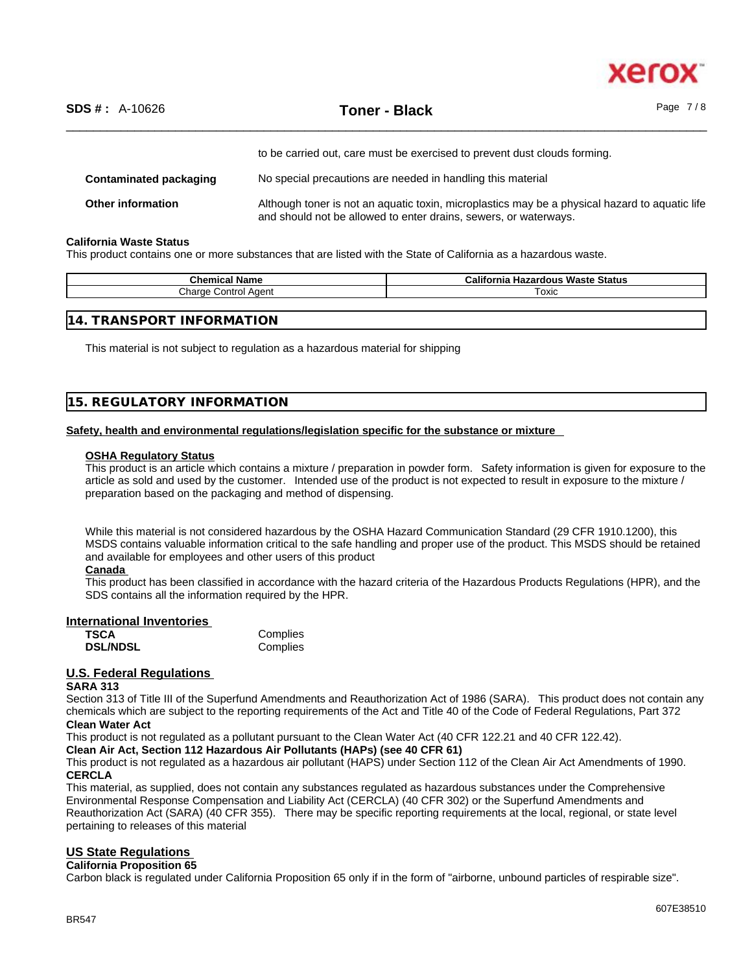

|                          | to be carried out, care must be exercised to prevent dust clouds forming.                                                                                          |
|--------------------------|--------------------------------------------------------------------------------------------------------------------------------------------------------------------|
| Contaminated packaging   | No special precautions are needed in handling this material                                                                                                        |
| <b>Other information</b> | Although toner is not an aquatic toxin, microplastics may be a physical hazard to aquatic life<br>and should not be allowed to enter drains, sewers, or waterways. |

#### **California Waste Status**

This product contains one or more substances that are listed with the State of California as a hazardous waste.

| Chemical<br>∣Name    | California<br>Waste<br>Status<br>Hazardous |
|----------------------|--------------------------------------------|
| $h$<br>Control Aaent | Toxic                                      |
|                      |                                            |

This material is not subject to regulation as a hazardous material for shipping

#### **15. REGULATORY INFORMATION**

#### **Safety, health and environmental regulations/legislation specific for the substance or mixture**

#### **OSHA Regulatory Status**

This product is an article which contains a mixture / preparation in powder form. Safety information is given for exposure to the article as sold and used by the customer. Intended use of the product is not expected to result in exposure to the mixture / preparation based on the packaging and method of dispensing.

While this material is not considered hazardous by the OSHA Hazard Communication Standard (29 CFR 1910.1200), this MSDS contains valuable information critical to the safe handling and proper use of the product. This MSDS should be retained and available for employees and other users of this product

#### **Canada**

This product has been classified in accordance with the hazard criteria of the Hazardous Products Regulations (HPR), and the SDS contains all the information required by the HPR.

#### **International Inventories**

| <b>TSCA</b>     | Complies |
|-----------------|----------|
| <b>DSL/NDSL</b> | Complies |

## **U.S. Federal Regulations**

#### **SARA 313**

Section 313 of Title III of the Superfund Amendments and Reauthorization Act of 1986 (SARA). This product does not contain any chemicals which are subject to the reporting requirements of the Act and Title 40 of the Code of Federal Regulations, Part 372 **Clean Water Act**

This product is not regulated as a pollutant pursuant to the Clean Water Act (40 CFR 122.21 and 40 CFR 122.42).

**Clean Air Act,Section 112 Hazardous Air Pollutants (HAPs) (see 40 CFR 61)**

This product is not regulated as a hazardous air pollutant (HAPS) under Section 112 of the Clean Air Act Amendments of 1990. **CERCLA**

This material, as supplied, does not contain any substances regulated as hazardous substances under the Comprehensive Environmental Response Compensation and Liability Act (CERCLA) (40 CFR 302) or the Superfund Amendments and Reauthorization Act (SARA) (40 CFR 355). There may be specific reporting requirements at the local, regional, or state level pertaining to releases of this material

#### **US State Regulations**

#### **California Proposition 65**

Carbon black is regulated under California Proposition 65 only if in the form of "airborne, unbound particles of respirable size".